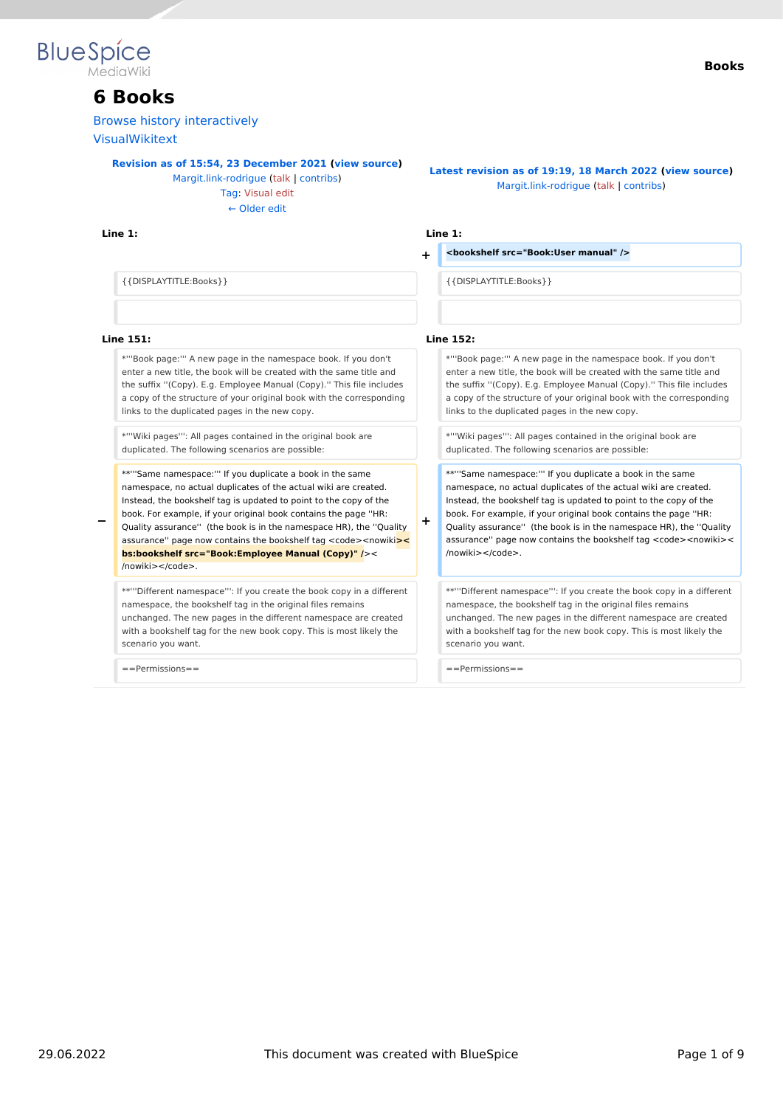

## **6 Books**

[Browse history interactively](https://en.wiki.bluespice.com)

[VisualWikitext](https://en.wiki.bluespice.com)

**[Revision as of 15:54, 23 December 2021](https://en.wiki.bluespice.com/w/index.php?title=Manual:Extension/BlueSpiceBookshelf&oldid=1802) ([view source\)](https://en.wiki.bluespice.com/w/index.php?title=Manual:Extension/BlueSpiceBookshelf&action=edit&oldid=1802)**

[Margit.link-rodrigue](https://en.wiki.bluespice.com/wiki/User:Margit.link-rodrigue) ([talk](https://en.wiki.bluespice.com/w/index.php?title=User_talk:Margit.link-rodrigue&action=view) | [contribs](https://en.wiki.bluespice.com/wiki/Special:Contributions/Margit.link-rodrigue)) [Tag](https://en.wiki.bluespice.com/wiki/Special:Tags): [Visual edit](https://en.wiki.bluespice.com/w/index.php?title=Site:VisualEditor&action=view) [← Older edit](https://en.wiki.bluespice.com/w/index.php?title=Manual:Extension/BlueSpiceBookshelf&diff=prev&oldid=1802)

#### **Line 1: Line 1:**

#### **Books**

**[Latest revision as of 19:19, 18 March 2022](https://en.wiki.bluespice.com/w/index.php?title=Manual:Extension/BlueSpiceBookshelf&oldid=2824) ([view source](https://en.wiki.bluespice.com/w/index.php?title=Manual:Extension/BlueSpiceBookshelf&action=edit))** [Margit.link-rodrigue](https://en.wiki.bluespice.com/wiki/User:Margit.link-rodrigue) [\(talk](https://en.wiki.bluespice.com/w/index.php?title=User_talk:Margit.link-rodrigue&action=view) | [contribs\)](https://en.wiki.bluespice.com/wiki/Special:Contributions/Margit.link-rodrigue)

**+ <bookshelf src="Book:User manual" />**

{{DISPLAYTITLE:Books}} {{DISPLAYTITLE:Books}}

#### **Line 151: Line 152:**

\*'''Book page:''' A new page in the namespace book. If you don't enter a new title, the book will be created with the same title and the suffix ''(Copy). E.g. Employee Manual (Copy).'' This file includes a copy of the structure of your original book with the corresponding links to the duplicated pages in the new copy.

\*'''Wiki pages''': All pages contained in the original book are duplicated. The following scenarios are possible:

\*\*'''Same namespace:''' If you duplicate a book in the same namespace, no actual duplicates of the actual wiki are created. Instead, the bookshelf tag is updated to point to the copy of the book. For example, if your original book contains the page ''HR:

**−** Quality assurance'' (the book is in the namespace HR), the ''Quality assurance" page now contains the bookshelf tag <code><nowiki**>< bs:bookshelf src="Book:Employee Manual (Copy)" /**>< /nowiki></code>.

\*\*'''Different namespace''': If you create the book copy in a different namespace, the bookshelf tag in the original files remains unchanged. The new pages in the different namespace are created with a bookshelf tag for the new book copy. This is most likely the scenario you want.

**+**

\*'''Book page:''' A new page in the namespace book. If you don't enter a new title, the book will be created with the same title and the suffix ''(Copy). E.g. Employee Manual (Copy).'' This file includes a copy of the structure of your original book with the corresponding links to the duplicated pages in the new copy.

\*'''Wiki pages''': All pages contained in the original book are duplicated. The following scenarios are possible:

\*\*'''Same namespace:''' If you duplicate a book in the same namespace, no actual duplicates of the actual wiki are created. Instead, the bookshelf tag is updated to point to the copy of the book. For example, if your original book contains the page ''HR: Quality assurance'' (the book is in the namespace HR), the ''Quality assurance" page now contains the bookshelf tag <code><nowiki>< /nowiki></code>.

\*\*'''Different namespace''': If you create the book copy in a different namespace, the bookshelf tag in the original files remains unchanged. The new pages in the different namespace are created with a bookshelf tag for the new book copy. This is most likely the scenario you want.

==Permissions== ==Permissions==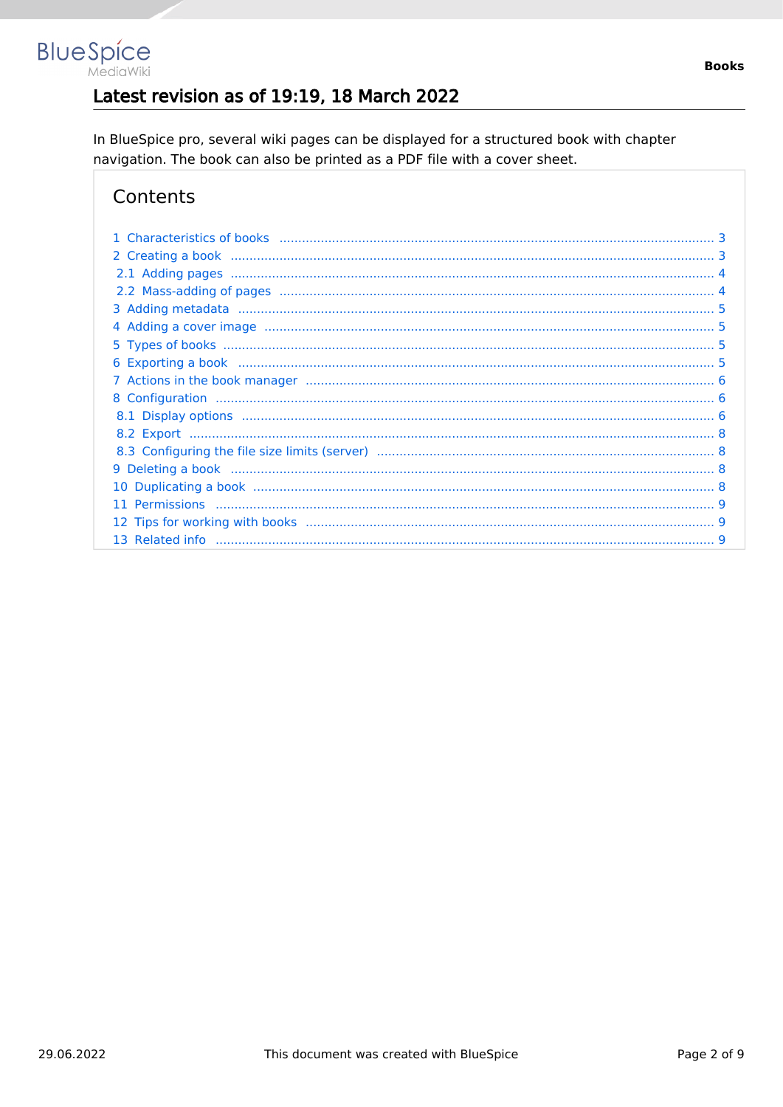## Latest revision as of 19:19, 18 March 2022

In BlueSpice pro, several wiki pages can be displayed for a structured book with chapter navigation. The book can also be printed as a PDF file with a cover sheet.

## Contents

**BlueSpice** 

MediaWiki

| 11 |  |
|----|--|
|    |  |
|    |  |
|    |  |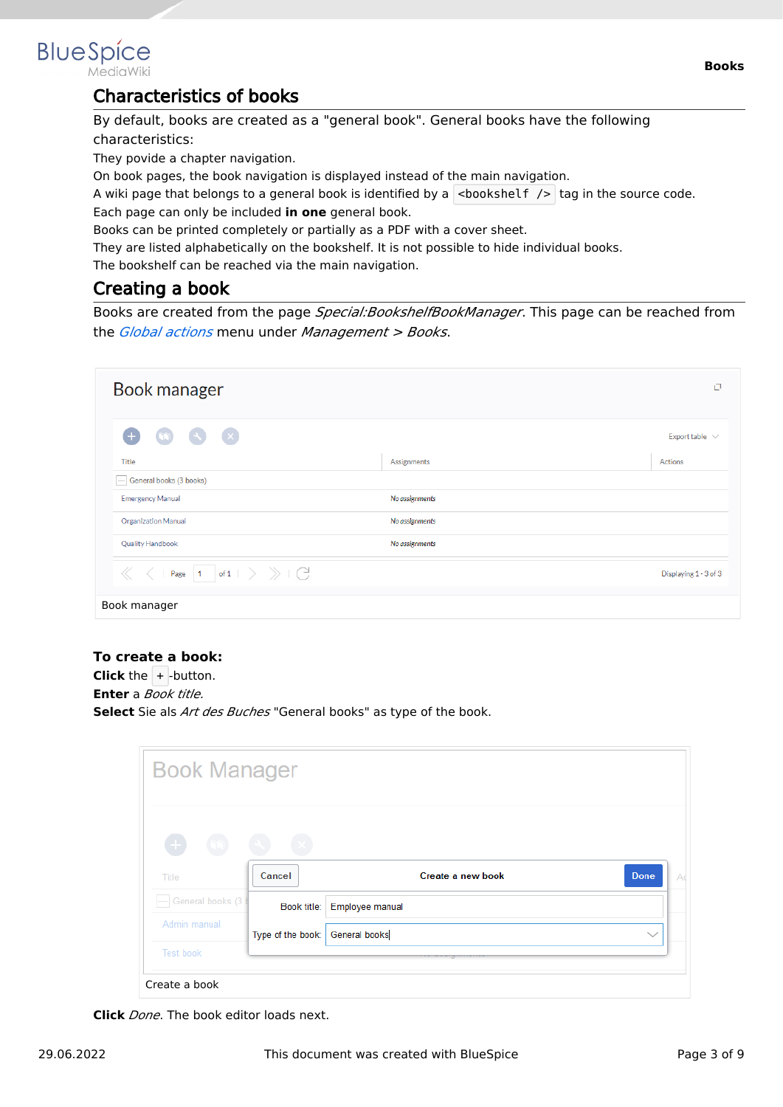<span id="page-2-0"></span>

MediaWiki

### Characteristics of books

By default, books are created as a "general book". General books have the following characteristics:

They povide a chapter navigation.

On book pages, the book navigation is displayed instead of the main navigation.

A wiki page that belongs to a general book is identified by a  $\vert$  <br/>bookshelf />  $\vert$  tag in the source code. Each page can only be included **in one** general book.

Books can be printed completely or partially as a PDF with a cover sheet.

They are listed alphabetically on the bookshelf. It is not possible to hide individual books.

The bookshelf can be reached via the main navigation.

### <span id="page-2-1"></span>Creating a book

Books are created from the page *Special:BookshelfBookManager*. This page can be reached from the *[Global actions](https://en.wiki.bluespice.com/wiki/Manual:Extension/BlueSpiceDiscovery)* menu under *Management > Books*.

| Book manager                                                                                                                               |                | O                     |
|--------------------------------------------------------------------------------------------------------------------------------------------|----------------|-----------------------|
| $\left( \infty \right)$ $\left( \infty \right)$<br>Œ<br>$\sqrt{2}$                                                                         |                | Export table $\vee$   |
| <b>Title</b>                                                                                                                               | Assignments    | Actions               |
| General books (3 books)                                                                                                                    |                |                       |
| <b>Emergency Manual</b>                                                                                                                    | No assignments |                       |
| <b>Organization Manual</b>                                                                                                                 | No assignments |                       |
| <b>Quality Handbook</b>                                                                                                                    | No assignments |                       |
| Page $\begin{array}{ c c c c }\n\hline\n1 & \text{of} 1 & \rightarrow & \rightarrow & \begin{array}{c}\n\searrow & \searrow & \end{array}$ |                | Displaying 1 - 3 of 3 |
| Book manager                                                                                                                               |                |                       |

#### **To create a book:**

**Click** the  $+$  -button. **Enter** a *Book title.* **Select** Sie als *Art des Buches* "General books" as type of the book.

| <b>Book Manager</b>              |                   |                             |                   |
|----------------------------------|-------------------|-----------------------------|-------------------|
| $\begin{array}{c} + \end{array}$ |                   |                             |                   |
| Title                            | Cancel            | Create a new book           | <b>Done</b><br>Ad |
| General books (3)                |                   | Book title: Employee manual |                   |
|                                  |                   |                             |                   |
| Admin manual                     | Type of the book: | <b>General books</b>        | $\checkmark$      |

**Click** *Done*. The book editor loads next.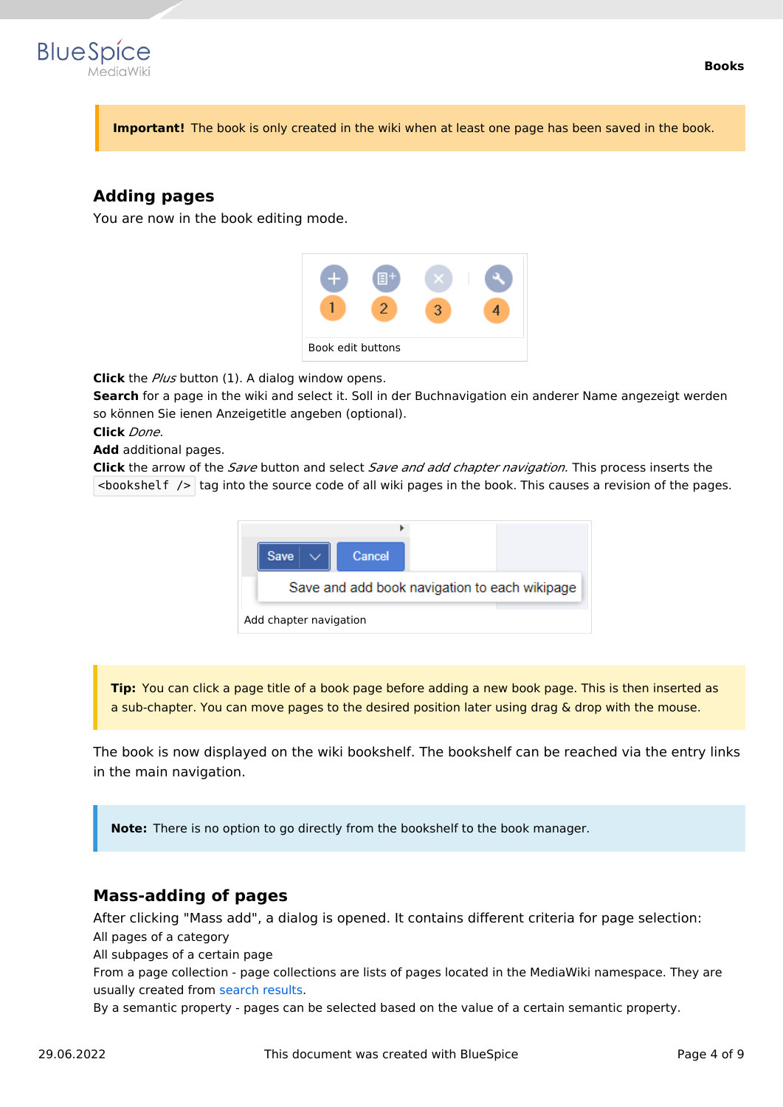

**Important!** The book is only created in the wiki when at least one page has been saved in the book.

### <span id="page-3-0"></span>**Adding pages**

You are now in the book editing mode.



**Click** the *Plus* button (1). A dialog window opens.

**Search** for a page in the wiki and select it. Soll in der Buchnavigation ein anderer Name angezeigt werden so können Sie ienen Anzeigetitle angeben (optional).

**Click** *Done*.

**Add** additional pages.

**Click** the arrow of the *Save* button and select *Save and add chapter navigation.* This process inserts the  $\leq$ bookshelf /> tag into the source code of all wiki pages in the book. This causes a revision of the pages.



**Tip:** You can click a page title of a book page before adding a new book page. This is then inserted as a sub-chapter. You can move pages to the desired position later using drag & drop with the mouse.

The book is now displayed on the wiki bookshelf. The bookshelf can be reached via the entry links in the main navigation.

**Note:** There is no option to go directly from the bookshelf to the book manager.

#### <span id="page-3-1"></span>**Mass-adding of pages**

After clicking "Mass add", a dialog is opened. It contains different criteria for page selection: All pages of a category

All subpages of a certain page

From a page collection - page collections are lists of pages located in the MediaWiki namespace. They are usually created from [search results](https://en.wiki.bluespice.com/wiki/Manual:Extension/BlueSpiceExtendedSearch#Export).

By a semantic property - pages can be selected based on the value of a certain semantic property.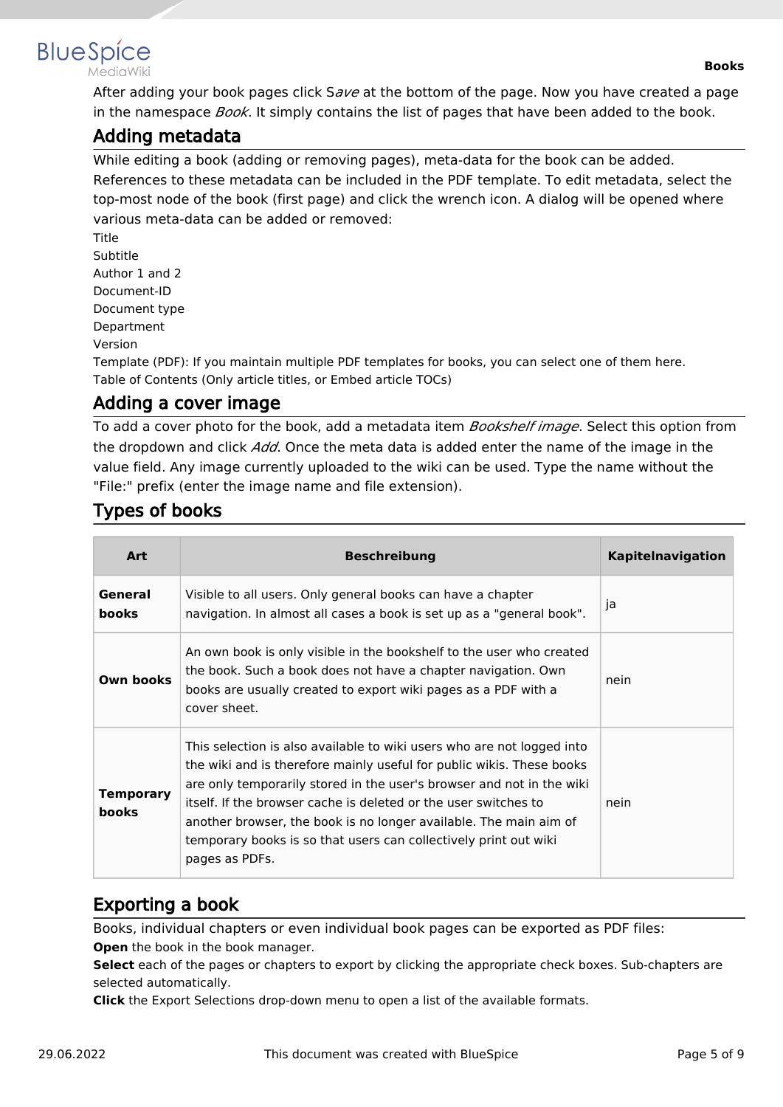

MediaWiki

After adding your book pages click S*ave* at the bottom of the page. Now you have created a page in the namespace *Book*. It simply contains the list of pages that have been added to the book.

### <span id="page-4-0"></span>Adding metadata

While editing a book (adding or removing pages), meta-data for the book can be added. References to these metadata can be included in the PDF template. To edit metadata, select the top-most node of the book (first page) and click the wrench icon. A dialog will be opened where various meta-data can be added or removed:

Title Subtitle Author 1 and 2 Document-ID Document type Department Version

Template (PDF): If you maintain multiple PDF templates for books, you can select one of them here. Table of Contents (Only article titles, or Embed article TOCs)

## <span id="page-4-1"></span>Adding a cover image

To add a cover photo for the book, add a metadata item *Bookshelf image*. Select this option from the dropdown and click *Add*. Once the meta data is added enter the name of the image in the value field. Any image currently uploaded to the wiki can be used. Type the name without the "File:" prefix (enter the image name and file extension).

## <span id="page-4-2"></span>Types of books

| Art                       | <b>Beschreibung</b>                                                                                                                                                                                                                                                                                                                                                                                                                                    | <b>Kapitelnavigation</b> |
|---------------------------|--------------------------------------------------------------------------------------------------------------------------------------------------------------------------------------------------------------------------------------------------------------------------------------------------------------------------------------------------------------------------------------------------------------------------------------------------------|--------------------------|
| General<br><b>books</b>   | Visible to all users. Only general books can have a chapter<br>navigation. In almost all cases a book is set up as a "general book".                                                                                                                                                                                                                                                                                                                   | ja                       |
| Own books                 | An own book is only visible in the bookshelf to the user who created<br>the book. Such a book does not have a chapter navigation. Own<br>books are usually created to export wiki pages as a PDF with a<br>cover sheet.                                                                                                                                                                                                                                | nein                     |
| Temporary<br><b>books</b> | This selection is also available to wiki users who are not logged into<br>the wiki and is therefore mainly useful for public wikis. These books<br>are only temporarily stored in the user's browser and not in the wiki<br>itself. If the browser cache is deleted or the user switches to<br>another browser, the book is no longer available. The main aim of<br>temporary books is so that users can collectively print out wiki<br>pages as PDFs. | nein                     |

## <span id="page-4-3"></span>Exporting a book

Books, individual chapters or even individual book pages can be exported as PDF files: **Open** the book in the book manager.

**Select** each of the pages or chapters to export by clicking the appropriate check boxes. Sub-chapters are selected automatically.

**Click** the Export Selections drop-down menu to open a list of the available formats.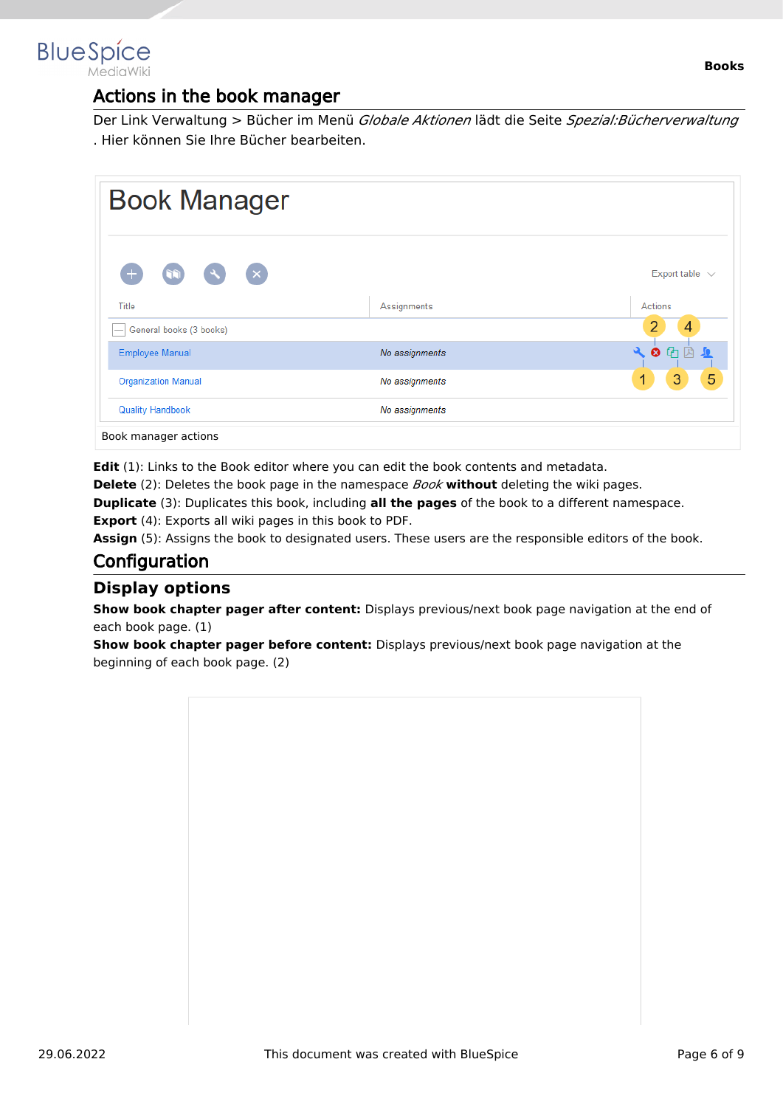<span id="page-5-0"></span>

### Actions in the book manager

Der Link Verwaltung > Bücher im Menü *Globale Aktionen* lädt die Seite *Spezial:Bücherverwaltung* . Hier können Sie Ihre Bücher bearbeiten.

| <b>Book Manager</b>                                           |                |                                        |
|---------------------------------------------------------------|----------------|----------------------------------------|
| $(\times)$<br>$\left( \begin{array}{c} 2 \end{array} \right)$ |                | Export table $\sqrt{ }$                |
| Title                                                         | Assignments    | Actions                                |
| General books (3 books)                                       |                | 4                                      |
| <b>Employee Manual</b>                                        | No assignments | $\mathbf{a}$<br>$\bullet$ $\circ$<br>一 |
| <b>Organization Manual</b>                                    | No assignments | 5<br>3<br>1                            |
| <b>Quality Handbook</b>                                       | No assignments |                                        |
| Book manager actions                                          |                |                                        |

**Edit** (1): Links to the Book editor where you can edit the book contents and metadata.

**Delete** (2): Deletes the book page in the namespace *Book* **without** deleting the wiki pages.

**Duplicate** (3): Duplicates this book, including **all the pages** of the book to a different namespace.

**Export** (4): Exports all wiki pages in this book to PDF.

Assign (5): Assigns the book to designated users. These users are the responsible editors of the book.

## <span id="page-5-1"></span>**Configuration**

#### <span id="page-5-2"></span>**Display options**

**Show book chapter pager after content:** Displays previous/next book page navigation at the end of each book page. (1)

**Show book chapter pager before content:** Displays previous/next book page navigation at the beginning of each book page. (2)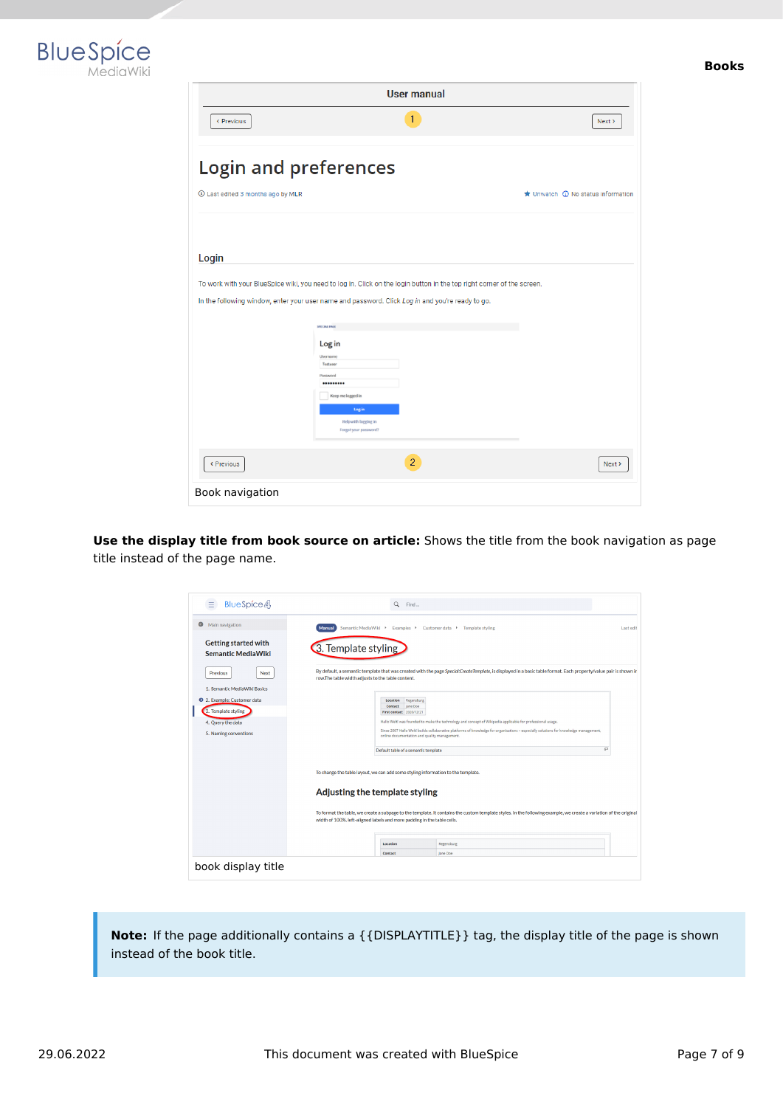



| <b>User manual</b>                |                                                                                                                        |                                                     |
|-----------------------------------|------------------------------------------------------------------------------------------------------------------------|-----------------------------------------------------|
| < Previous                        | 1                                                                                                                      | Next >                                              |
| <b>Login and preferences</b>      |                                                                                                                        |                                                     |
| 1 Last edited 3 months ago by MLR |                                                                                                                        | $\bigstar$ Unwatch $\bigcirc$ No status information |
|                                   |                                                                                                                        |                                                     |
| Login                             |                                                                                                                        |                                                     |
|                                   | To work with your BlueSpice wiki, you need to log in. Click on the login button in the top right corner of the screen. |                                                     |
|                                   | In the following window, enter your user name and password. Click Log in and you're ready to go.                       |                                                     |
|                                   | SPECIAL PAGE                                                                                                           |                                                     |
|                                   | Log in                                                                                                                 |                                                     |
|                                   | Username<br>Testuser                                                                                                   |                                                     |
|                                   | Password<br>                                                                                                           |                                                     |
|                                   | Keep me logged in                                                                                                      |                                                     |
|                                   | Log in<br><b>Help with logging in</b>                                                                                  |                                                     |
|                                   | Forgot your password?                                                                                                  |                                                     |
| < Previous                        | $\overline{2}$                                                                                                         | Next                                                |
| Book navigation                   |                                                                                                                        |                                                     |

**Use the display title from book source on article:** Shows the title from the book navigation as page title instead of the page name.

| BlueSpice4<br>Ξ                                          | $\alpha$<br>Find                                                                                                                                                                                                                                                                                                                                                                                                    |           |
|----------------------------------------------------------|---------------------------------------------------------------------------------------------------------------------------------------------------------------------------------------------------------------------------------------------------------------------------------------------------------------------------------------------------------------------------------------------------------------------|-----------|
| Main navigation<br>◒                                     | Semantic MediaWiki ▶<br>Examples > Customer data ><br><b>Manual</b><br>Template styling                                                                                                                                                                                                                                                                                                                             | Last edit |
| <b>Getting started with</b><br><b>Semantic MediaWiki</b> | 3. Template styling                                                                                                                                                                                                                                                                                                                                                                                                 |           |
| Next<br><b>Previous</b>                                  | By default, a semantic template that was created with the page Special:CreateTemplate, is displayed in a basic table format. Each property/value pair is shown in<br>row.The table width adjusts to the table content.                                                                                                                                                                                              |           |
| 1. Semantic MediaWiki Basics                             |                                                                                                                                                                                                                                                                                                                                                                                                                     |           |
| 2. Example: Customer data                                | Location<br>Regensburg<br>Contact<br>Jane Doe                                                                                                                                                                                                                                                                                                                                                                       |           |
| 3. Template styling                                      | First contact 2020/12/21                                                                                                                                                                                                                                                                                                                                                                                            |           |
| 4. Query the data                                        | Hallo Weltl was founded to make the technology and concept of Wikipedia applicable for professional usage.                                                                                                                                                                                                                                                                                                          |           |
| 5. Naming conventions                                    | Since 2007 Hallo Welt! builds collaborative platforms of knowledge for organisations - especially solutions for knowledge management,<br>online documentation and quality management.                                                                                                                                                                                                                               |           |
|                                                          | Default table of a semantic template                                                                                                                                                                                                                                                                                                                                                                                | 47        |
|                                                          | To change the table layout, we can add some styling information to the template.<br>Adjusting the template styling<br>To format the table, we create a subpage to the template. It contains the custom template styles. In the following example, we create a variation of the original<br>width of 100%, left-aligned labels and more padding in the table cells.<br>Location<br>Regensburg<br>Contact<br>Jane Doe |           |
| book display title                                       |                                                                                                                                                                                                                                                                                                                                                                                                                     |           |

**Note:** If the page additionally contains a {{DISPLAYTITLE}} tag, the display title of the page is shown instead of the book title.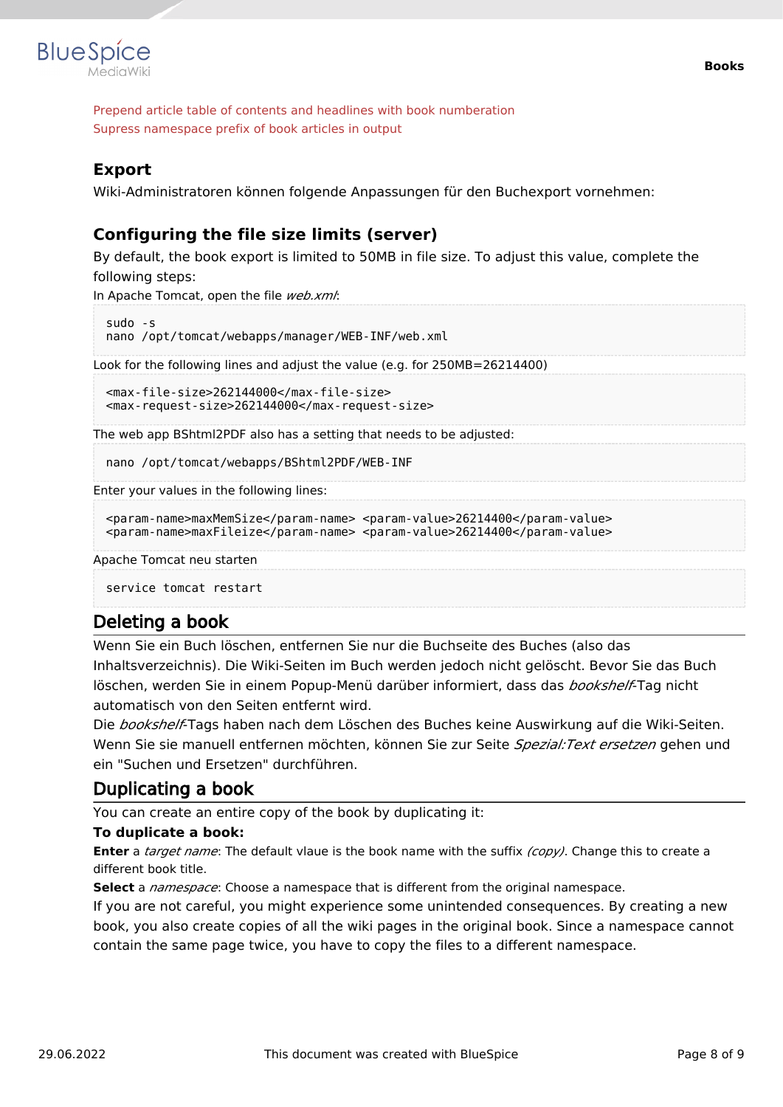

Prepend article table of contents and headlines with book numberation Supress namespace prefix of book articles in output

#### <span id="page-7-0"></span>**Export**

Wiki-Administratoren können folgende Anpassungen für den Buchexport vornehmen:

#### <span id="page-7-1"></span>**Configuring the file size limits (server)**

By default, the book export is limited to 50MB in file size. To adjust this value, complete the following steps:

In Apache Tomcat, open the file *web.xml*:

```
sudo -s
nano /opt/tomcat/webapps/manager/WEB-INF/web.xml
```
Look for the following lines and adjust the value (e.g. for 250MB=26214400)

```
<max-file-size>262144000</max-file-size>
<max-request-size>262144000</max-request-size>
```
The web app BShtml2PDF also has a setting that needs to be adjusted:

nano /opt/tomcat/webapps/BShtml2PDF/WEB-INF

Enter your values in the following lines:

```
<param-name>maxMemSize</param-name> <param-value>26214400</param-value>
<param-name>maxFileize</param-name> <param-value>26214400</param-value>
```
Apache Tomcat neu starten

service tomcat restart

#### <span id="page-7-2"></span>Deleting a book

Wenn Sie ein Buch löschen, entfernen Sie nur die Buchseite des Buches (also das Inhaltsverzeichnis). Die Wiki-Seiten im Buch werden jedoch nicht gelöscht. Bevor Sie das Buch löschen, werden Sie in einem Popup-Menü darüber informiert, dass das *bookshelf*-Tag nicht automatisch von den Seiten entfernt wird.

Die *bookshelf*-Tags haben nach dem Löschen des Buches keine Auswirkung auf die Wiki-Seiten. Wenn Sie sie manuell entfernen möchten, können Sie zur Seite *Spezial:Text ersetzen* gehen und ein "Suchen und Ersetzen" durchführen.

#### <span id="page-7-3"></span>Duplicating a book

You can create an entire copy of the book by duplicating it:

#### **To duplicate a book:**

**Enter** a *target name*: The default vlaue is the book name with the suffix *(copy)*. Change this to create a different book title.

**Select** a *namespace*: Choose a namespace that is different from the original namespace.

If you are not careful, you might experience some unintended consequences. By creating a new book, you also create copies of all the wiki pages in the original book. Since a namespace cannot contain the same page twice, you have to copy the files to a different namespace.